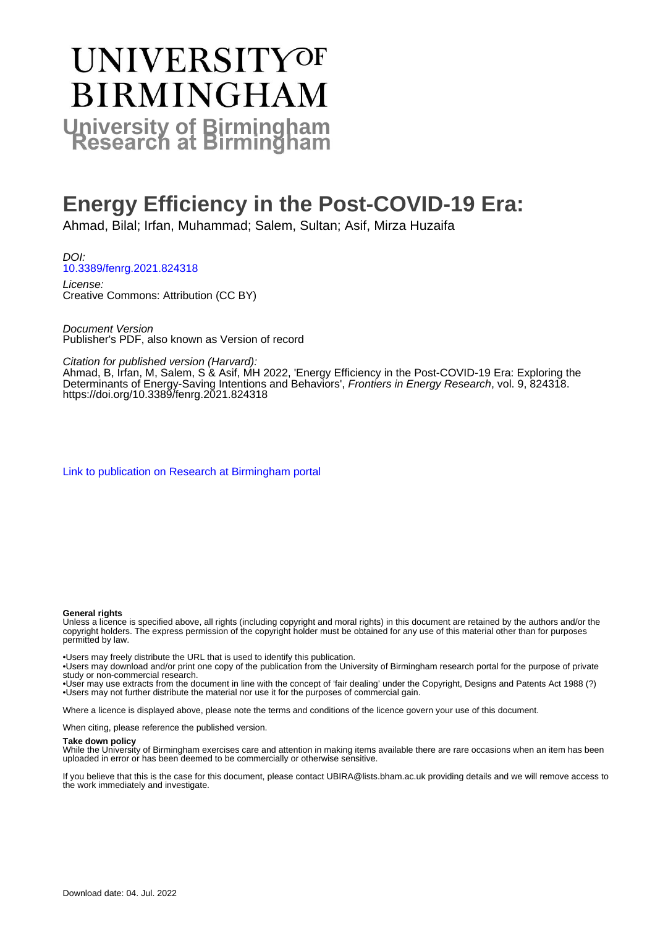# UNIVERSITYOF **BIRMINGHAM University of Birmingham**

## **Energy Efficiency in the Post-COVID-19 Era:**

Ahmad, Bilal; Irfan, Muhammad; Salem, Sultan; Asif, Mirza Huzaifa

DOI: [10.3389/fenrg.2021.824318](https://doi.org/10.3389/fenrg.2021.824318)

License: Creative Commons: Attribution (CC BY)

Document Version Publisher's PDF, also known as Version of record

Citation for published version (Harvard):

Ahmad, B, Irfan, M, Salem, S & Asif, MH 2022, 'Energy Efficiency in the Post-COVID-19 Era: Exploring the Determinants of Energy-Saving Intentions and Behaviors', Frontiers in Energy Research, vol. 9, 824318. <https://doi.org/10.3389/fenrg.2021.824318>

[Link to publication on Research at Birmingham portal](https://birmingham.elsevierpure.com/en/publications/97fd4366-e005-43e6-b864-6ad58e84c77d)

#### **General rights**

Unless a licence is specified above, all rights (including copyright and moral rights) in this document are retained by the authors and/or the copyright holders. The express permission of the copyright holder must be obtained for any use of this material other than for purposes permitted by law.

• Users may freely distribute the URL that is used to identify this publication.

• Users may download and/or print one copy of the publication from the University of Birmingham research portal for the purpose of private study or non-commercial research.

• User may use extracts from the document in line with the concept of 'fair dealing' under the Copyright, Designs and Patents Act 1988 (?) • Users may not further distribute the material nor use it for the purposes of commercial gain.

Where a licence is displayed above, please note the terms and conditions of the licence govern your use of this document.

When citing, please reference the published version.

#### **Take down policy**

While the University of Birmingham exercises care and attention in making items available there are rare occasions when an item has been uploaded in error or has been deemed to be commercially or otherwise sensitive.

If you believe that this is the case for this document, please contact UBIRA@lists.bham.ac.uk providing details and we will remove access to the work immediately and investigate.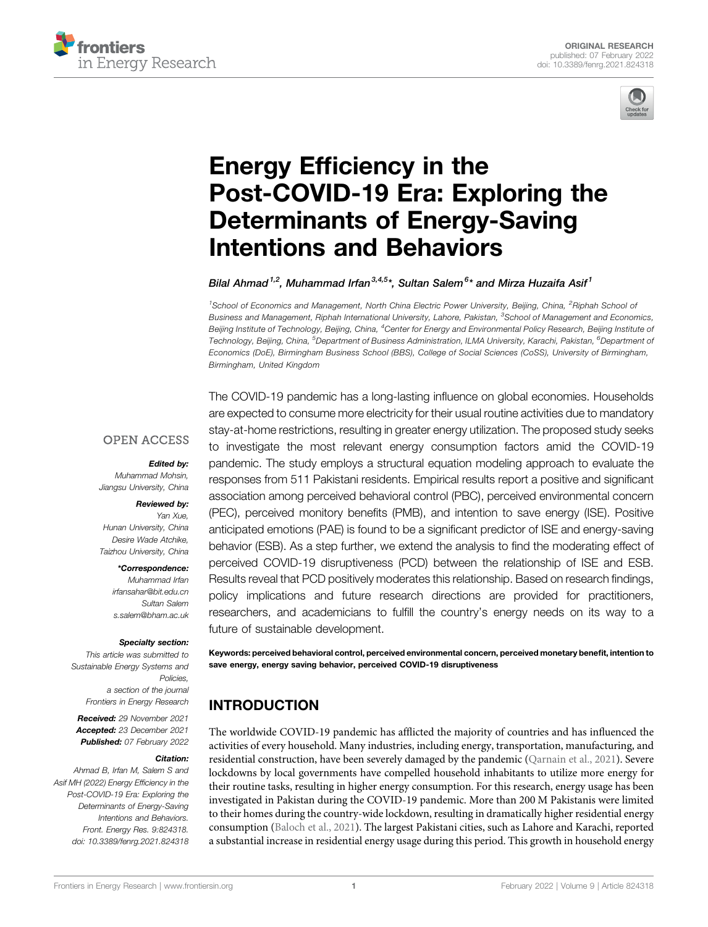



## Energy Effi[ciency in the](https://www.frontiersin.org/articles/10.3389/fenrg.2021.824318/full) [Post-COVID-19 Era: Exploring the](https://www.frontiersin.org/articles/10.3389/fenrg.2021.824318/full) [Determinants of Energy-Saving](https://www.frontiersin.org/articles/10.3389/fenrg.2021.824318/full) [Intentions and Behaviors](https://www.frontiersin.org/articles/10.3389/fenrg.2021.824318/full)

#### Bilal Ahmad <sup>1,2</sup>, Muhammad Irfan  $^{3,4,5*}$ , Sultan Salem  $^{6*}$  and Mirza Huzaifa Asif  $^1$

<sup>1</sup>School of Economics and Management, North China Electric Power University, Beijing, China, <sup>2</sup>Riphah School oi Business and Management, Riphah International University, Lahore, Pakistan, <sup>3</sup>School of Management and Economics, Beijing Institute of Technology, Beijing, China, <sup>4</sup>Center for Energy and Environmental Policy Research, Beijing Institute oi Technology, Beijing, China, <sup>5</sup>Department of Business Administration, ILMA University, Karachi, Pakistan, <sup>6</sup>Department o*f* Economics (DoE), Birmingham Business School (BBS), College of Social Sciences (CoSS), University of Birmingham, Birmingham, United Kingdom

#### **OPEN ACCESS**

#### Edited by:

Muhammad Mohsin, Jiangsu University, China

#### Reviewed by:

Yan Xue, Hunan University, China Desire Wade Atchike, Taizhou University, China

#### \*Correspondence:

Muhammad Irfan [irfansahar@bit.edu.cn](mailto:irfansahar@bit.edu.cn) Sultan Salem [s.salem@bham.ac.uk](mailto:s.salem@bham.ac.uk)

#### Specialty section:

This article was submitted to Sustainable Energy Systems and Policies a section of the journal Frontiers in Energy Research

Received: 29 November 2021 Accepted: 23 December 2021 Published: 07 February 2022

#### Citation:

Ahmad B, Irfan M, Salem S and Asif MH (2022) Energy Efficiency in the Post-COVID-19 Era: Exploring the Determinants of Energy-Saving Intentions and Behaviors. Front. Energy Res. 9:824318. doi: [10.3389/fenrg.2021.824318](https://doi.org/10.3389/fenrg.2021.824318)

The COVID-19 pandemic has a long-lasting influence on global economies. Households are expected to consume more electricity for their usual routine activities due to mandatory stay-at-home restrictions, resulting in greater energy utilization. The proposed study seeks to investigate the most relevant energy consumption factors amid the COVID-19 pandemic. The study employs a structural equation modeling approach to evaluate the responses from 511 Pakistani residents. Empirical results report a positive and significant association among perceived behavioral control (PBC), perceived environmental concern (PEC), perceived monitory benefits (PMB), and intention to save energy (ISE). Positive anticipated emotions (PAE) is found to be a significant predictor of ISE and energy-saving behavior (ESB). As a step further, we extend the analysis to find the moderating effect of perceived COVID-19 disruptiveness (PCD) between the relationship of ISE and ESB. Results reveal that PCD positively moderates this relationship. Based on research findings, policy implications and future research directions are provided for practitioners, researchers, and academicians to fulfill the country's energy needs on its way to a future of sustainable development.

Keywords: perceived behavioral control, perceived environmental concern, perceived monetary benefit, intention to save energy, energy saving behavior, perceived COVID-19 disruptiveness

## INTRODUCTION

The worldwide COVID-19 pandemic has afflicted the majority of countries and has influenced the activities of every household. Many industries, including energy, transportation, manufacturing, and residential construction, have been severely damaged by the pandemic ([Qarnain et al., 2021](#page-10-0)). Severe lockdowns by local governments have compelled household inhabitants to utilize more energy for their routine tasks, resulting in higher energy consumption. For this research, energy usage has been investigated in Pakistan during the COVID-19 pandemic. More than 200 M Pakistanis were limited to their homes during the country-wide lockdown, resulting in dramatically higher residential energy consumption [\(Baloch et al., 2021\)](#page-9-0). The largest Pakistani cities, such as Lahore and Karachi, reported a substantial increase in residential energy usage during this period. This growth in household energy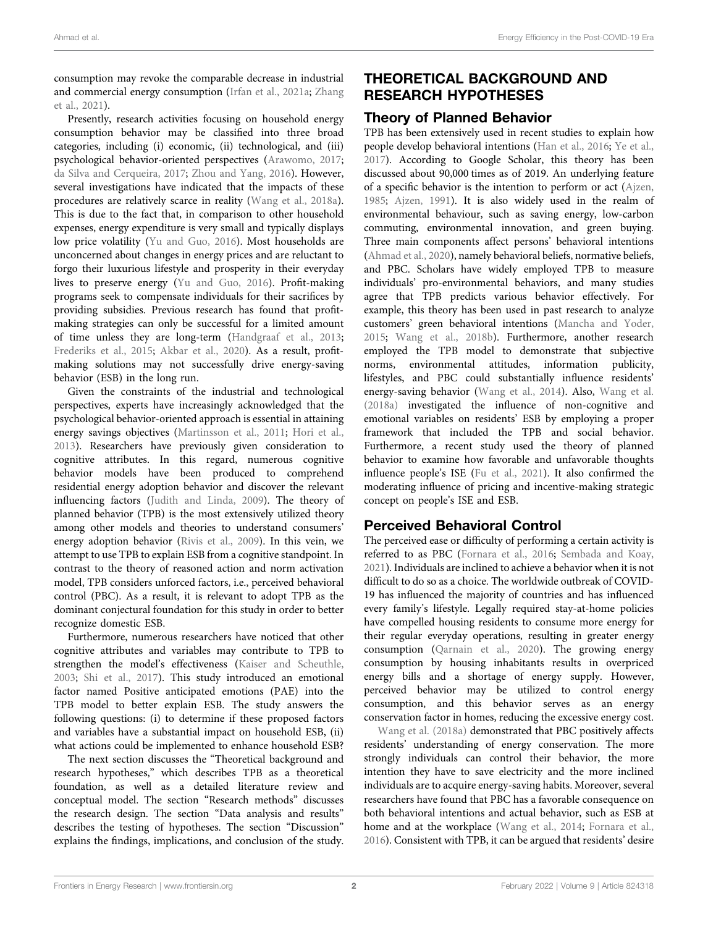consumption may revoke the comparable decrease in industrial and commercial energy consumption [\(Irfan et al., 2021a](#page-10-1); [Zhang](#page-11-0) [et al., 2021](#page-11-0)).

Presently, research activities focusing on household energy consumption behavior may be classified into three broad categories, including (i) economic, (ii) technological, and (iii) psychological behavior-oriented perspectives [\(Arawomo, 2017](#page-9-1); [da Silva and Cerqueira, 2017](#page-9-2); [Zhou and Yang, 2016\)](#page-11-1). However, several investigations have indicated that the impacts of these procedures are relatively scarce in reality ([Wang et al., 2018a\)](#page-10-2). This is due to the fact that, in comparison to other household expenses, energy expenditure is very small and typically displays low price volatility [\(Yu and Guo, 2016\)](#page-11-2). Most households are unconcerned about changes in energy prices and are reluctant to forgo their luxurious lifestyle and prosperity in their everyday lives to preserve energy [\(Yu and Guo, 2016\)](#page-11-2). Profit-making programs seek to compensate individuals for their sacrifices by providing subsidies. Previous research has found that profitmaking strategies can only be successful for a limited amount of time unless they are long-term ([Handgraaf et al., 2013](#page-10-3); [Frederiks et al., 2015](#page-9-3); [Akbar et al., 2020\)](#page-9-4). As a result, profitmaking solutions may not successfully drive energy-saving behavior (ESB) in the long run.

Given the constraints of the industrial and technological perspectives, experts have increasingly acknowledged that the psychological behavior-oriented approach is essential in attaining energy savings objectives ([Martinsson et al., 2011](#page-10-4); [Hori et al.,](#page-10-5) [2013](#page-10-5)). Researchers have previously given consideration to cognitive attributes. In this regard, numerous cognitive behavior models have been produced to comprehend residential energy adoption behavior and discover the relevant influencing factors ([Judith and Linda, 2009\)](#page-10-6). The theory of planned behavior (TPB) is the most extensively utilized theory among other models and theories to understand consumers' energy adoption behavior [\(Rivis et al., 2009\)](#page-10-7). In this vein, we attempt to use TPB to explain ESB from a cognitive standpoint. In contrast to the theory of reasoned action and norm activation model, TPB considers unforced factors, i.e., perceived behavioral control (PBC). As a result, it is relevant to adopt TPB as the dominant conjectural foundation for this study in order to better recognize domestic ESB.

Furthermore, numerous researchers have noticed that other cognitive attributes and variables may contribute to TPB to strengthen the model's effectiveness ([Kaiser and Scheuthle,](#page-10-8) [2003](#page-10-8); [Shi et al., 2017\)](#page-10-9). This study introduced an emotional factor named Positive anticipated emotions (PAE) into the TPB model to better explain ESB. The study answers the following questions: (i) to determine if these proposed factors and variables have a substantial impact on household ESB, (ii) what actions could be implemented to enhance household ESB?

The next section discusses the "Theoretical background and research hypotheses," which describes TPB as a theoretical foundation, as well as a detailed literature review and conceptual model. The section "Research methods" discusses the research design. The section "Data analysis and results" describes the testing of hypotheses. The section "Discussion" explains the findings, implications, and conclusion of the study.

## THEORETICAL BACKGROUND AND RESEARCH HYPOTHESES

#### Theory of Planned Behavior

TPB has been extensively used in recent studies to explain how people develop behavioral intentions ([Han et al., 2016](#page-9-5); [Ye et al.,](#page-11-3) [2017](#page-11-3)). According to Google Scholar, this theory has been discussed about 90,000 times as of 2019. An underlying feature of a specific behavior is the intention to perform or act ([Ajzen,](#page-9-6) [1985](#page-9-6); [Ajzen, 1991](#page-9-7)). It is also widely used in the realm of environmental behaviour, such as saving energy, low-carbon commuting, environmental innovation, and green buying. Three main components affect persons' behavioral intentions [\(Ahmad et al., 2020\)](#page-9-8), namely behavioral beliefs, normative beliefs, and PBC. Scholars have widely employed TPB to measure individuals' pro-environmental behaviors, and many studies agree that TPB predicts various behavior effectively. For example, this theory has been used in past research to analyze customers' green behavioral intentions [\(Mancha and Yoder,](#page-10-10) [2015](#page-10-10); [Wang et al., 2018b\)](#page-10-11). Furthermore, another research employed the TPB model to demonstrate that subjective norms, environmental attitudes, information publicity, lifestyles, and PBC could substantially influence residents' energy-saving behavior [\(Wang et al., 2014](#page-10-12)). Also, [Wang et al.](#page-10-2) [\(2018a\)](#page-10-2) investigated the influence of non-cognitive and emotional variables on residents' ESB by employing a proper framework that included the TPB and social behavior. Furthermore, a recent study used the theory of planned behavior to examine how favorable and unfavorable thoughts influence people's ISE [\(Fu et al., 2021\)](#page-9-9). It also confirmed the moderating influence of pricing and incentive-making strategic concept on people's ISE and ESB.

#### Perceived Behavioral Control

The perceived ease or difficulty of performing a certain activity is referred to as PBC ([Fornara et al., 2016;](#page-9-10) [Sembada and Koay,](#page-10-13) [2021](#page-10-13)). Individuals are inclined to achieve a behavior when it is not difficult to do so as a choice. The worldwide outbreak of COVID-19 has influenced the majority of countries and has influenced every family's lifestyle. Legally required stay-at-home policies have compelled housing residents to consume more energy for their regular everyday operations, resulting in greater energy consumption [\(Qarnain et al., 2020](#page-10-14)). The growing energy consumption by housing inhabitants results in overpriced energy bills and a shortage of energy supply. However, perceived behavior may be utilized to control energy consumption, and this behavior serves as an energy conservation factor in homes, reducing the excessive energy cost.

[Wang et al. \(2018a\)](#page-10-2) demonstrated that PBC positively affects residents' understanding of energy conservation. The more strongly individuals can control their behavior, the more intention they have to save electricity and the more inclined individuals are to acquire energy-saving habits. Moreover, several researchers have found that PBC has a favorable consequence on both behavioral intentions and actual behavior, such as ESB at home and at the workplace [\(Wang et al., 2014;](#page-10-12) [Fornara et al.,](#page-9-10) [2016](#page-9-10)). Consistent with TPB, it can be argued that residents' desire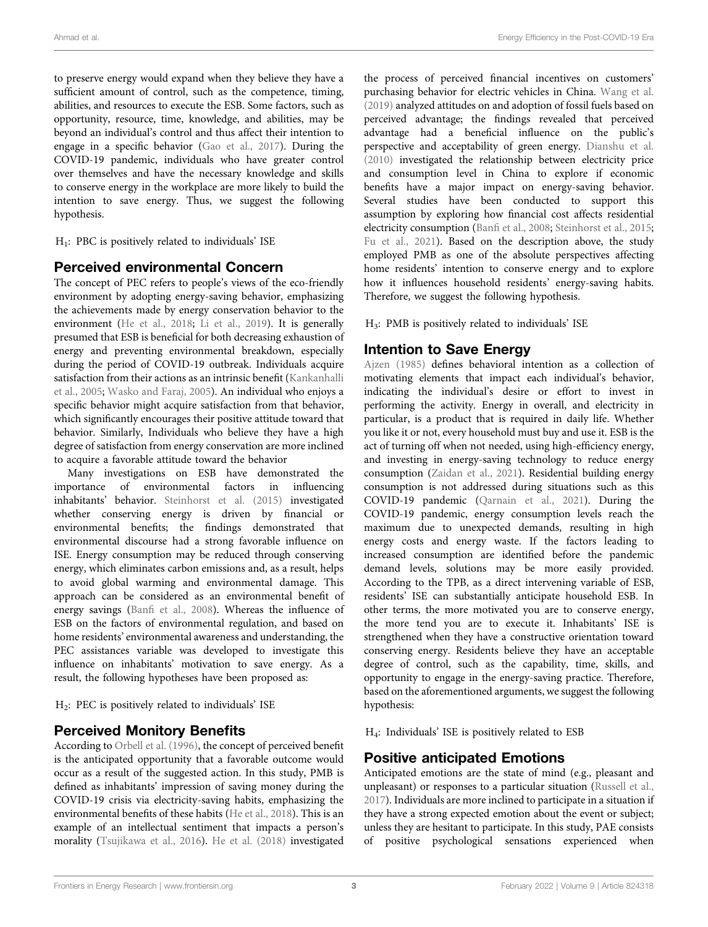to preserve energy would expand when they believe they have a sufficient amount of control, such as the competence, timing, abilities, and resources to execute the ESB. Some factors, such as opportunity, resource, time, knowledge, and abilities, may be beyond an individual's control and thus affect their intention to engage in a specific behavior [\(Gao et al., 2017](#page-9-11)). During the COVID-19 pandemic, individuals who have greater control over themselves and have the necessary knowledge and skills to conserve energy in the workplace are more likely to build the intention to save energy. Thus, we suggest the following hypothesis.

H1: PBC is positively related to individuals' ISE

#### Perceived environmental Concern

The concept of PEC refers to people's views of the eco-friendly environment by adopting energy-saving behavior, emphasizing the achievements made by energy conservation behavior to the environment ([He et al., 2018;](#page-10-15) [Li et al., 2019\)](#page-10-16). It is generally presumed that ESB is beneficial for both decreasing exhaustion of energy and preventing environmental breakdown, especially during the period of COVID-19 outbreak. Individuals acquire satisfaction from their actions as an intrinsic benefit [\(Kankanhalli](#page-10-17) [et al., 2005;](#page-10-17) [Wasko and Faraj, 2005](#page-10-18)). An individual who enjoys a specific behavior might acquire satisfaction from that behavior, which significantly encourages their positive attitude toward that behavior. Similarly, Individuals who believe they have a high degree of satisfaction from energy conservation are more inclined to acquire a favorable attitude toward the behavior

Many investigations on ESB have demonstrated the importance of environmental factors in influencing inhabitants' behavior. [Steinhorst et al. \(2015\)](#page-10-19) investigated whether conserving energy is driven by financial or environmental benefits; the findings demonstrated that environmental discourse had a strong favorable influence on ISE. Energy consumption may be reduced through conserving energy, which eliminates carbon emissions and, as a result, helps to avoid global warming and environmental damage. This approach can be considered as an environmental benefit of energy savings (Banfi [et al., 2008\)](#page-9-12). Whereas the influence of ESB on the factors of environmental regulation, and based on home residents' environmental awareness and understanding, the PEC assistances variable was developed to investigate this influence on inhabitants' motivation to save energy. As a result, the following hypotheses have been proposed as:

H2: PEC is positively related to individuals' ISE

#### Perceived Monitory Benefits

According to [Orbell et al. \(1996\),](#page-10-20) the concept of perceived benefit is the anticipated opportunity that a favorable outcome would occur as a result of the suggested action. In this study, PMB is defined as inhabitants' impression of saving money during the COVID-19 crisis via electricity-saving habits, emphasizing the environmental benefits of these habits ([He et al., 2018\)](#page-10-15). This is an example of an intellectual sentiment that impacts a person's morality [\(Tsujikawa et al., 2016](#page-10-21)). [He et al. \(2018\)](#page-10-15) investigated

the process of perceived financial incentives on customers' purchasing behavior for electric vehicles in China. [Wang et al.](#page-10-22) [\(2019\)](#page-10-22) analyzed attitudes on and adoption of fossil fuels based on perceived advantage; the findings revealed that perceived advantage had a beneficial influence on the public's perspective and acceptability of green energy. [Dianshu et al.](#page-9-13) [\(2010\)](#page-9-13) investigated the relationship between electricity price and consumption level in China to explore if economic benefits have a major impact on energy-saving behavior. Several studies have been conducted to support this assumption by exploring how financial cost affects residential electricity consumption (Banfi [et al., 2008;](#page-9-12) [Steinhorst et al., 2015;](#page-10-19) [Fu et al., 2021\)](#page-9-9). Based on the description above, the study employed PMB as one of the absolute perspectives affecting home residents' intention to conserve energy and to explore how it influences household residents' energy-saving habits. Therefore, we suggest the following hypothesis.

H3: PMB is positively related to individuals' ISE

#### Intention to Save Energy

[Ajzen \(1985\)](#page-9-6) defines behavioral intention as a collection of motivating elements that impact each individual's behavior, indicating the individual's desire or effort to invest in performing the activity. Energy in overall, and electricity in particular, is a product that is required in daily life. Whether you like it or not, every household must buy and use it. ESB is the act of turning off when not needed, using high-efficiency energy, and investing in energy-saving technology to reduce energy consumption ([Zaidan et al., 2021\)](#page-11-4). Residential building energy consumption is not addressed during situations such as this COVID-19 pandemic [\(Qarnain et al., 2021](#page-10-0)). During the COVID-19 pandemic, energy consumption levels reach the maximum due to unexpected demands, resulting in high energy costs and energy waste. If the factors leading to increased consumption are identified before the pandemic demand levels, solutions may be more easily provided. According to the TPB, as a direct intervening variable of ESB, residents' ISE can substantially anticipate household ESB. In other terms, the more motivated you are to conserve energy, the more tend you are to execute it. Inhabitants' ISE is strengthened when they have a constructive orientation toward conserving energy. Residents believe they have an acceptable degree of control, such as the capability, time, skills, and opportunity to engage in the energy-saving practice. Therefore, based on the aforementioned arguments, we suggest the following hypothesis:

H4: Individuals' ISE is positively related to ESB

#### Positive anticipated Emotions

Anticipated emotions are the state of mind (e.g., pleasant and unpleasant) or responses to a particular situation [\(Russell et al.,](#page-10-23) [2017](#page-10-23)). Individuals are more inclined to participate in a situation if they have a strong expected emotion about the event or subject; unless they are hesitant to participate. In this study, PAE consists of positive psychological sensations experienced when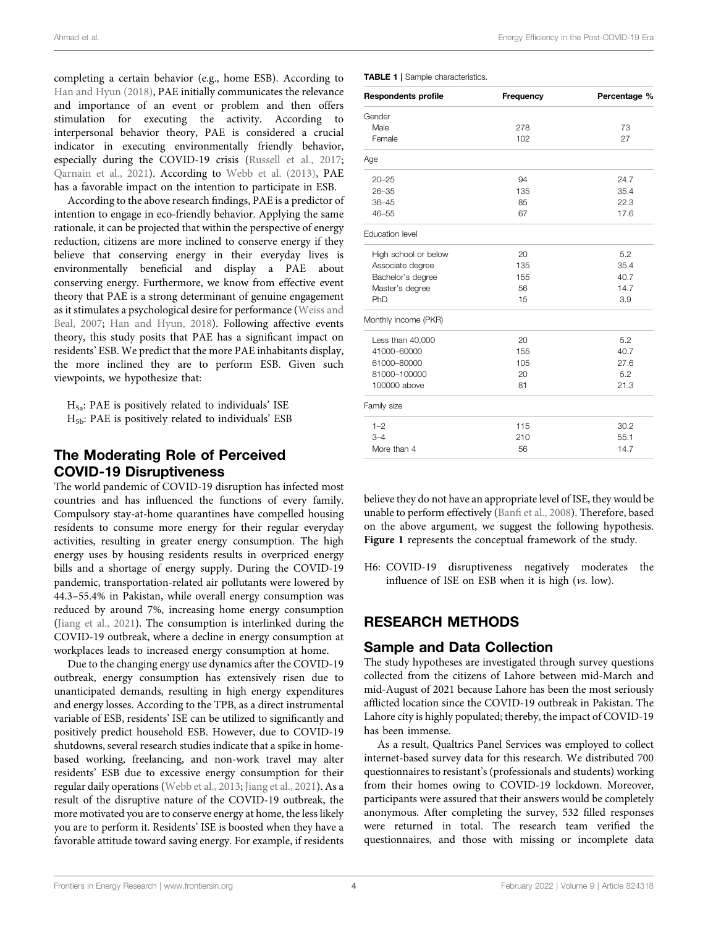completing a certain behavior (e.g., home ESB). According to [Han and Hyun \(2018\),](#page-9-14) PAE initially communicates the relevance and importance of an event or problem and then offers stimulation for executing the activity. According to interpersonal behavior theory, PAE is considered a crucial indicator in executing environmentally friendly behavior, especially during the COVID-19 crisis [\(Russell et al., 2017](#page-10-23); [Qarnain et al., 2021](#page-10-0)). According to [Webb et al. \(2013\),](#page-10-24) PAE has a favorable impact on the intention to participate in ESB.

According to the above research findings, PAE is a predictor of intention to engage in eco-friendly behavior. Applying the same rationale, it can be projected that within the perspective of energy reduction, citizens are more inclined to conserve energy if they believe that conserving energy in their everyday lives is environmentally beneficial and display a PAE about conserving energy. Furthermore, we know from effective event theory that PAE is a strong determinant of genuine engagement as it stimulates a psychological desire for performance ([Weiss and](#page-10-25) [Beal, 2007;](#page-10-25) [Han and Hyun, 2018](#page-9-14)). Following affective events theory, this study posits that PAE has a significant impact on residents' ESB. We predict that the more PAE inhabitants display, the more inclined they are to perform ESB. Given such viewpoints, we hypothesize that:

 $H_{5a}$ : PAE is positively related to individuals' ISE  $H_{5b}$ : PAE is positively related to individuals' ESB

#### The Moderating Role of Perceived COVID-19 Disruptiveness

The world pandemic of COVID-19 disruption has infected most countries and has influenced the functions of every family. Compulsory stay-at-home quarantines have compelled housing residents to consume more energy for their regular everyday activities, resulting in greater energy consumption. The high energy uses by housing residents results in overpriced energy bills and a shortage of energy supply. During the COVID-19 pandemic, transportation-related air pollutants were lowered by 44.3–55.4% in Pakistan, while overall energy consumption was reduced by around 7%, increasing home energy consumption ([Jiang et al., 2021\)](#page-10-26). The consumption is interlinked during the COVID-19 outbreak, where a decline in energy consumption at workplaces leads to increased energy consumption at home.

Due to the changing energy use dynamics after the COVID-19 outbreak, energy consumption has extensively risen due to unanticipated demands, resulting in high energy expenditures and energy losses. According to the TPB, as a direct instrumental variable of ESB, residents' ISE can be utilized to significantly and positively predict household ESB. However, due to COVID-19 shutdowns, several research studies indicate that a spike in homebased working, freelancing, and non-work travel may alter residents' ESB due to excessive energy consumption for their regular daily operations ([Webb et al., 2013](#page-10-24); [Jiang et al., 2021](#page-10-26)). As a result of the disruptive nature of the COVID-19 outbreak, the more motivated you are to conserve energy at home, the less likely you are to perform it. Residents' ISE is boosted when they have a favorable attitude toward saving energy. For example, if residents

<span id="page-4-0"></span>TABLE 1 | Sample characteristics.

| <b>Respondents profile</b> | Frequency | Percentage % |
|----------------------------|-----------|--------------|
| Gender                     |           |              |
| Male                       | 278       | 73           |
| Female                     | 102       | 27           |
| Age                        |           |              |
| $20 - 25$                  | 94        | 24.7         |
| $26 - 35$                  | 135       | 35.4         |
| $36 - 45$                  | 85        | 22.3         |
| $46 - 55$                  | 67        | 17.6         |
| <b>Education level</b>     |           |              |
| High school or below       | 20        | 5.2          |
| Associate degree           | 135       | 35.4         |
| Bachelor's degree          | 155       | 40.7         |
| Master's degree            | 56        | 14.7         |
| PhD                        | 15        | 3.9          |
| Monthly income (PKR)       |           |              |
| Less than 40,000           | 20        | 5.2          |
| 41000-60000                | 155       | 40.7         |
| 61000-80000                | 105       | 27.6         |
| 81000-100000               | 20        | 5.2          |
| 100000 above               | 81        | 21.3         |
| Family size                |           |              |
| $1 - 2$                    | 115       | 30.2         |
| $3 - 4$                    | 210       | 55.1         |
| More than 4                | 56        | 14.7         |

believe they do not have an appropriate level of ISE, they would be unable to perform effectively (Banfi [et al., 2008](#page-9-12)). Therefore, based on the above argument, we suggest the following hypothesis. [Figure 1](#page-7-0) represents the conceptual framework of the study.

H6: COVID-19 disruptiveness negatively moderates the influence of ISE on ESB when it is high (vs. low).

#### RESEARCH METHODS

#### Sample and Data Collection

The study hypotheses are investigated through survey questions collected from the citizens of Lahore between mid-March and mid-August of 2021 because Lahore has been the most seriously afflicted location since the COVID-19 outbreak in Pakistan. The Lahore city is highly populated; thereby, the impact of COVID-19 has been immense.

As a result, Qualtrics Panel Services was employed to collect internet-based survey data for this research. We distributed 700 questionnaires to resistant's (professionals and students) working from their homes owing to COVID-19 lockdown. Moreover, participants were assured that their answers would be completely anonymous. After completing the survey, 532 filled responses were returned in total. The research team verified the questionnaires, and those with missing or incomplete data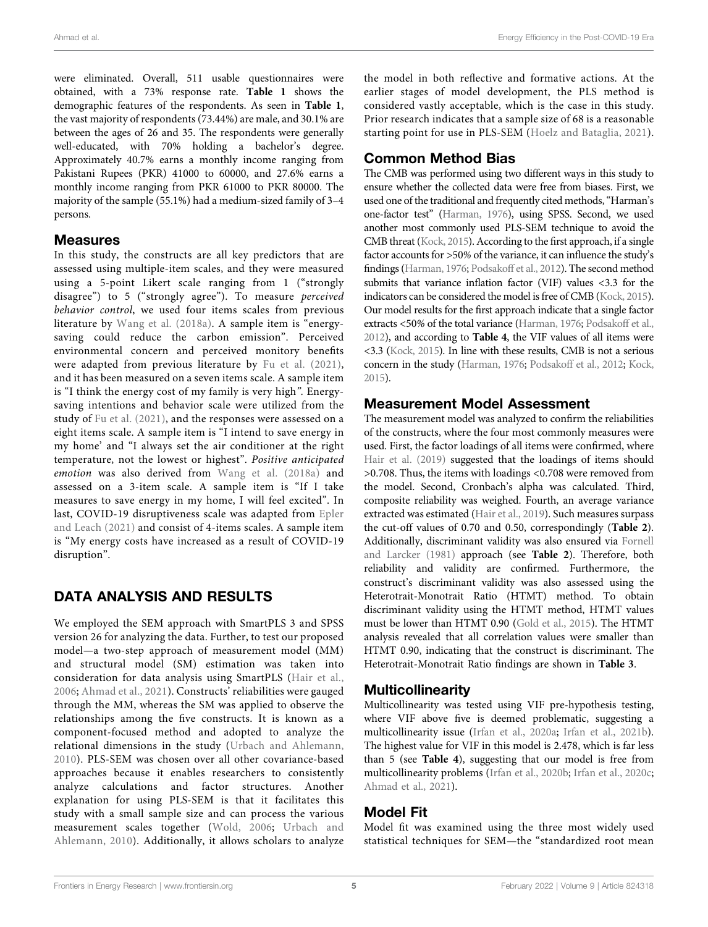were eliminated. Overall, 511 usable questionnaires were obtained, with a 73% response rate. [Table 1](#page-4-0) shows the demographic features of the respondents. As seen in [Table 1](#page-4-0), the vast majority of respondents (73.44%) are male, and 30.1% are between the ages of 26 and 35. The respondents were generally well-educated, with 70% holding a bachelor's degree. Approximately 40.7% earns a monthly income ranging from Pakistani Rupees (PKR) 41000 to 60000, and 27.6% earns a monthly income ranging from PKR 61000 to PKR 80000. The majority of the sample (55.1%) had a medium-sized family of 3–4 persons.

#### Measures

In this study, the constructs are all key predictors that are assessed using multiple-item scales, and they were measured using a 5-point Likert scale ranging from 1 ("strongly disagree") to 5 ("strongly agree"). To measure perceived behavior control, we used four items scales from previous literature by [Wang et al. \(2018a\)](#page-10-2). A sample item is "energysaving could reduce the carbon emission". Perceived environmental concern and perceived monitory benefits were adapted from previous literature by [Fu et al. \(2021\)](#page-9-9), and it has been measured on a seven items scale. A sample item is "I think the energy cost of my family is very high". Energysaving intentions and behavior scale were utilized from the study of [Fu et al. \(2021\)](#page-9-9), and the responses were assessed on a eight items scale. A sample item is "I intend to save energy in my home' and "I always set the air conditioner at the right temperature, not the lowest or highest". Positive anticipated emotion was also derived from [Wang et al. \(2018a\)](#page-10-2) and assessed on a 3-item scale. A sample item is "If I take measures to save energy in my home, I will feel excited". In last, COVID-19 disruptiveness scale was adapted from [Epler](#page-9-15) [and Leach \(2021\)](#page-9-15) and consist of 4-items scales. A sample item is "My energy costs have increased as a result of COVID-19 disruption".

## DATA ANALYSIS AND RESULTS

We employed the SEM approach with SmartPLS 3 and SPSS version 26 for analyzing the data. Further, to test our proposed model—a two-step approach of measurement model (MM) and structural model (SM) estimation was taken into consideration for data analysis using SmartPLS ([Hair et al.,](#page-9-16) [2006](#page-9-16); [Ahmad et al., 2021\)](#page-9-17). Constructs' reliabilities were gauged through the MM, whereas the SM was applied to observe the relationships among the five constructs. It is known as a component-focused method and adopted to analyze the relational dimensions in the study [\(Urbach and Ahlemann,](#page-10-27) [2010](#page-10-27)). PLS-SEM was chosen over all other covariance-based approaches because it enables researchers to consistently analyze calculations and factor structures. Another explanation for using PLS-SEM is that it facilitates this study with a small sample size and can process the various measurement scales together ([Wold, 2006;](#page-11-5) [Urbach and](#page-10-27) [Ahlemann, 2010](#page-10-27)). Additionally, it allows scholars to analyze

the model in both reflective and formative actions. At the earlier stages of model development, the PLS method is considered vastly acceptable, which is the case in this study. Prior research indicates that a sample size of 68 is a reasonable starting point for use in PLS-SEM ([Hoelz and Bataglia, 2021](#page-10-28)).

## Common Method Bias

The CMB was performed using two different ways in this study to ensure whether the collected data were free from biases. First, we used one of the traditional and frequently cited methods,"Harman's one-factor test" [\(Harman, 1976](#page-10-29)), using SPSS. Second, we used another most commonly used PLS-SEM technique to avoid the CMB threat ([Kock, 2015](#page-10-30)). According to the first approach, if a single factor accounts for >50% of the variance, it can influence the study's findings [\(Harman, 1976](#page-10-29); [Podsakoff et al., 2012\)](#page-10-31). The second method submits that variance inflation factor (VIF) values <3.3 for the indicators can be considered the model is free of CMB [\(Kock, 2015\)](#page-10-30). Our model results for the first approach indicate that a single factor extracts <50% of the total variance [\(Harman, 1976;](#page-10-29) [Podsakoff et al.,](#page-10-31) [2012\)](#page-10-31), and according to [Table 4](#page-6-0), the VIF values of all items were <3.3 [\(Kock, 2015](#page-10-30)). In line with these results, CMB is not a serious concern in the study [\(Harman, 1976](#page-10-29); [Podsakoff et al., 2012](#page-10-31); [Kock,](#page-10-30) [2015\)](#page-10-30).

#### Measurement Model Assessment

The measurement model was analyzed to confirm the reliabilities of the constructs, where the four most commonly measures were used. First, the factor loadings of all items were confirmed, where [Hair et al. \(2019\)](#page-9-18) suggested that the loadings of items should >0.708. Thus, the items with loadings <0.708 were removed from the model. Second, Cronbach's alpha was calculated. Third, composite reliability was weighed. Fourth, an average variance extracted was estimated ([Hair et al., 2019\)](#page-9-18). Such measures surpass the cut-off values of 0.70 and 0.50, correspondingly ([Table 2](#page-6-1)). Additionally, discriminant validity was also ensured via [Fornell](#page-9-19) [and Larcker \(1981\)](#page-9-19) approach (see [Table 2](#page-6-1)). Therefore, both reliability and validity are confirmed. Furthermore, the construct's discriminant validity was also assessed using the Heterotrait-Monotrait Ratio (HTMT) method. To obtain discriminant validity using the HTMT method, HTMT values must be lower than HTMT 0.90 [\(Gold et al., 2015](#page-9-20)). The HTMT analysis revealed that all correlation values were smaller than HTMT 0.90, indicating that the construct is discriminant. The Heterotrait-Monotrait Ratio findings are shown in [Table 3](#page-6-2).

#### Multicollinearity

Multicollinearity was tested using VIF pre-hypothesis testing, where VIF above five is deemed problematic, suggesting a multicollinearity issue ([Irfan et al., 2020a;](#page-10-32) [Irfan et al., 2021b\)](#page-10-33). The highest value for VIF in this model is 2.478, which is far less than 5 (see [Table 4](#page-6-0)), suggesting that our model is free from multicollinearity problems ([Irfan et al., 2020b](#page-10-34); [Irfan et al., 2020c;](#page-10-35) [Ahmad et al., 2021](#page-9-17)).

#### Model Fit

Model fit was examined using the three most widely used statistical techniques for SEM—the "standardized root mean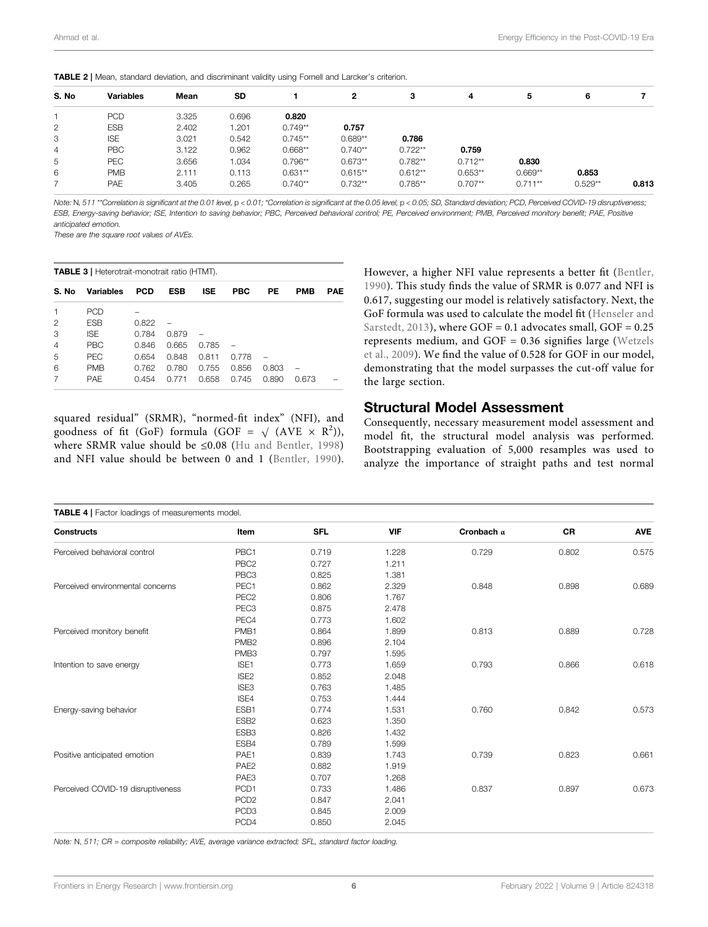|                | <b>TABLE 2</b>   Mean, standard deviation, and discriminant validity using Fornell and Larcker's criterion. |       |           |           |           |           |           |           |           |       |
|----------------|-------------------------------------------------------------------------------------------------------------|-------|-----------|-----------|-----------|-----------|-----------|-----------|-----------|-------|
| S. No          | <b>Variables</b>                                                                                            | Mean  | <b>SD</b> |           | 2         | 3         | 4         | 5         | 6         |       |
|                | <b>PCD</b>                                                                                                  | 3.325 | 0.696     | 0.820     |           |           |           |           |           |       |
| $\overline{2}$ | <b>ESB</b>                                                                                                  | 2.402 | 1.201     | $0.749**$ | 0.757     |           |           |           |           |       |
| 3              | <b>ISE</b>                                                                                                  | 3.021 | 0.542     | $0.745**$ | $0.689**$ | 0.786     |           |           |           |       |
| 4              | <b>PBC</b>                                                                                                  | 3.122 | 0.962     | $0.668**$ | $0.740**$ | $0.722**$ | 0.759     |           |           |       |
| 5              | PEC                                                                                                         | 3.656 | 1.034     | $0.796**$ | $0.673**$ | $0.782**$ | $0.712**$ | 0.830     |           |       |
| 6              | <b>PMB</b>                                                                                                  | 2.111 | 0.113     | $0.631**$ | $0.615**$ | $0.612**$ | $0.653**$ | $0.669**$ | 0.853     |       |
|                | PAE                                                                                                         | 3.405 | 0.265     | $0.740**$ | $0.732**$ | $0.785**$ | $0.707**$ | $0.711**$ | $0.529**$ | 0.813 |

<span id="page-6-1"></span>

Note: N, 511 \*\*Correlation is significant at the 0.01 level, p < 0.01; \*Correlation is significant at the 0.05 level, p < 0.05; SD, Standard deviation; PCD, Perceived COVID-19 disruptiveness; ESB, Energy-saving behavior; ISE, Intention to saving behavior; PBC, Perceived behavioral control; PE, Perceived environment; PMB, Perceived monitory benefit; PAE, Positive anticipated emotion.

These are the square root values of AVEs.

<span id="page-6-2"></span>TABLE 3 | Heterotrait-monotrait ratio (HTMT).

| S. No | <b>Variables</b> | <b>PCD</b> | ESB   | <b>ISE</b> | PBC   | РE    | <b>PMB</b> | PAE |
|-------|------------------|------------|-------|------------|-------|-------|------------|-----|
|       | <b>PCD</b>       |            |       |            |       |       |            |     |
| 2     | <b>ESB</b>       | 0.822      |       |            |       |       |            |     |
| 3     | <b>ISE</b>       | 0.784      | 0.879 |            |       |       |            |     |
| 4     | <b>PBC</b>       | 0.846      | 0.665 | 0.785      |       |       |            |     |
| 5     | <b>PEC</b>       | 0.654      | 0.848 | 0.811      | 0.778 |       |            |     |
| 6     | <b>PMB</b>       | 0.762      | 0.780 | 0.755      | 0.856 | 0.803 |            |     |
|       | <b>PAF</b>       | 0.454      | 0.771 | 0.658      | 0.745 | 0.890 | 0.673      |     |

squared residual" (SRMR), "normed-fit index" (NFI), and goodness of fit (GoF) formula (GOF =  $\sqrt{(AVE \times R^2)}$ ), where SRMR value should be ≤0.08 ([Hu and Bentler, 1998\)](#page-10-36) and NFI value should be between 0 and 1 ([Bentler, 1990\)](#page-9-21). However, a higher NFI value represents a better fit [\(Bentler,](#page-9-21) [1990](#page-9-21)). This study finds the value of SRMR is 0.077 and NFI is 0.617, suggesting our model is relatively satisfactory. Next, the GoF formula was used to calculate the model fit ([Henseler and](#page-10-37) [Sarstedt, 2013](#page-10-37)), where  $GOF = 0.1$  advocates small,  $GOF = 0.25$ represents medium, and GOF  $= 0.36$  signifies large ([Wetzels](#page-11-6) [et al., 2009](#page-11-6)). We find the value of 0.528 for GOF in our model, demonstrating that the model surpasses the cut-off value for the large section.

#### Structural Model Assessment

Consequently, necessary measurement model assessment and model fit, the structural model analysis was performed. Bootstrapping evaluation of 5,000 resamples was used to analyze the importance of straight paths and test normal

<span id="page-6-0"></span>

| <b>TABLE 4</b>   Factor loadings of measurements model. |                  |            |            |                   |           |            |  |
|---------------------------------------------------------|------------------|------------|------------|-------------------|-----------|------------|--|
| <b>Constructs</b>                                       | Item             | <b>SFL</b> | <b>VIF</b> | Cronbach $\alpha$ | <b>CR</b> | <b>AVE</b> |  |
| Perceived behavioral control                            | PBC1             | 0.719      | 1.228      | 0.729             | 0.802     | 0.575      |  |
|                                                         | PBC <sub>2</sub> | 0.727      | 1.211      |                   |           |            |  |
|                                                         | PBC <sub>3</sub> | 0.825      | 1.381      |                   |           |            |  |
| Perceived environmental concerns                        | PEC1             | 0.862      | 2.329      | 0.848             | 0.898     | 0.689      |  |
|                                                         | PEC <sub>2</sub> | 0.806      | 1.767      |                   |           |            |  |
|                                                         | PEC <sub>3</sub> | 0.875      | 2.478      |                   |           |            |  |
|                                                         | PEC4             | 0.773      | 1.602      |                   |           |            |  |
| Perceived monitory benefit                              | PMB <sub>1</sub> | 0.864      | 1.899      | 0.813             | 0.889     | 0.728      |  |
|                                                         | PMB <sub>2</sub> | 0.896      | 2.104      |                   |           |            |  |
|                                                         | PMB <sub>3</sub> | 0.797      | 1.595      |                   |           |            |  |
| Intention to save energy                                | ISE <sub>1</sub> | 0.773      | 1.659      | 0.793             | 0.866     | 0.618      |  |
|                                                         | ISE <sub>2</sub> | 0.852      | 2.048      |                   |           |            |  |
|                                                         | ISE3             | 0.763      | 1.485      |                   |           |            |  |
|                                                         | ISE4             | 0.753      | 1.444      |                   |           |            |  |
| Energy-saving behavior                                  | ESB1             | 0.774      | 1.531      | 0.760             | 0.842     | 0.573      |  |
|                                                         | ESB <sub>2</sub> | 0.623      | 1.350      |                   |           |            |  |
|                                                         | ESB <sub>3</sub> | 0.826      | 1.432      |                   |           |            |  |
|                                                         | ESB4             | 0.789      | 1.599      |                   |           |            |  |
| Positive anticipated emotion                            | PAE1             | 0.839      | 1.743      | 0.739             | 0.823     | 0.661      |  |
|                                                         | PAE <sub>2</sub> | 0.882      | 1.919      |                   |           |            |  |
|                                                         | PAE <sub>3</sub> | 0.707      | 1.268      |                   |           |            |  |
| Perceived COVID-19 disruptiveness                       | PCD1             | 0.733      | 1.486      | 0.837             | 0.897     | 0.673      |  |
|                                                         | PCD <sub>2</sub> | 0.847      | 2.041      |                   |           |            |  |
|                                                         | PCD <sub>3</sub> | 0.845      | 2.009      |                   |           |            |  |
|                                                         | PCD4             | 0.850      | 2.045      |                   |           |            |  |

Note: N, 511; CR = composite reliability; AVE, average variance extracted; SFL, standard factor loading.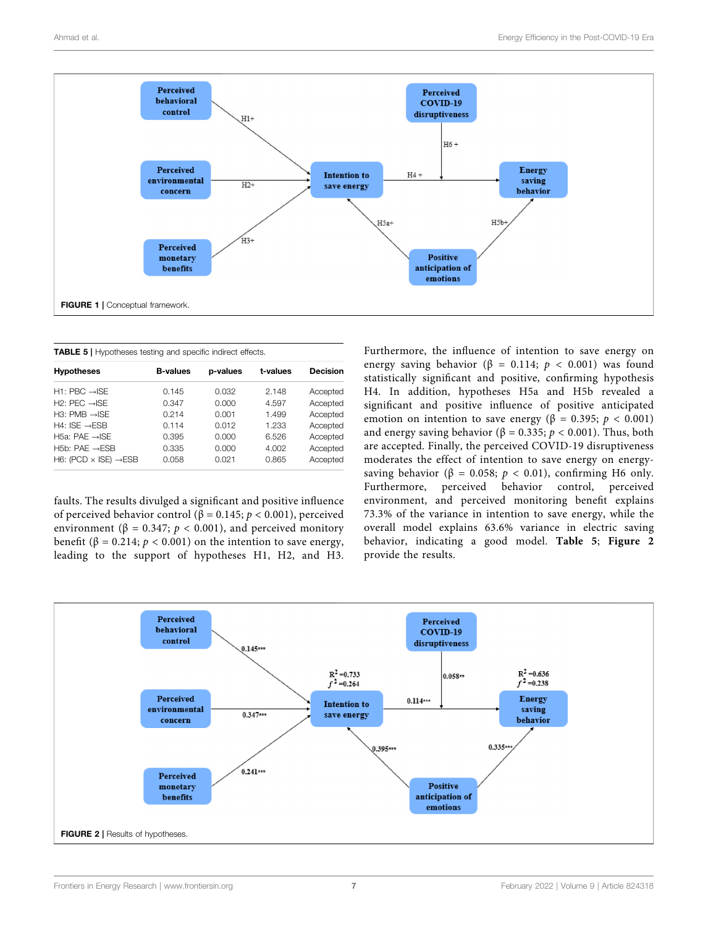

<span id="page-7-1"></span><span id="page-7-0"></span>

| <b>TABLE 5</b>   Hypotheses testing and specific indirect effects. |                 |          |          |                 |  |  |  |  |
|--------------------------------------------------------------------|-----------------|----------|----------|-----------------|--|--|--|--|
| <b>Hypotheses</b>                                                  | <b>B-values</b> | p-values | t-values | <b>Decision</b> |  |  |  |  |
| $H1: PBC \rightarrow SE$                                           | 0.145           | 0.032    | 2.148    | Accepted        |  |  |  |  |
| $H2: PFC \rightarrow ISE$                                          | 0.347           | 0.000    | 4.597    | Accepted        |  |  |  |  |
| $H3: PMB \rightarrow SFE$                                          | 0.214           | 0.001    | 1.499    | Accepted        |  |  |  |  |
| $H4:ISE \rightarrow ESB$                                           | 0.114           | 0.012    | 1.233    | Accepted        |  |  |  |  |
| H5a: PAE $\rightarrow$ ISE                                         | 0.395           | 0.000    | 6.526    | Accepted        |  |  |  |  |
| $H5b: PAF \rightarrow FSB$                                         | 0.335           | 0.000    | 4.002    | Accepted        |  |  |  |  |
| H6: (PCD $\times$ ISE) $\rightarrow$ ESB                           | 0.058           | 0.021    | 0.865    | Accepted        |  |  |  |  |

faults. The results divulged a significant and positive influence of perceived behavior control (β = 0.145;  $p$  < 0.001), perceived environment ( $\beta = 0.347$ ;  $p < 0.001$ ), and perceived monitory benefit ( $\beta$  = 0.214;  $p$  < 0.001) on the intention to save energy, leading to the support of hypotheses H1, H2, and H3. Furthermore, the influence of intention to save energy on energy saving behavior ( $\beta = 0.114$ ;  $p < 0.001$ ) was found statistically significant and positive, confirming hypothesis H4. In addition, hypotheses H5a and H5b revealed a significant and positive influence of positive anticipated emotion on intention to save energy ( $\beta = 0.395$ ;  $p < 0.001$ ) and energy saving behavior ( $\beta = 0.335$ ;  $p < 0.001$ ). Thus, both are accepted. Finally, the perceived COVID-19 disruptiveness moderates the effect of intention to save energy on energysaving behavior ( $\beta = 0.058$ ;  $p < 0.01$ ), confirming H6 only. Furthermore, perceived behavior control, perceived environment, and perceived monitoring benefit explains 73.3% of the variance in intention to save energy, while the overall model explains 63.6% variance in electric saving behavior, indicating a good model. [Table 5](#page-7-1); [Figure 2](#page-7-2) provide the results.

<span id="page-7-2"></span>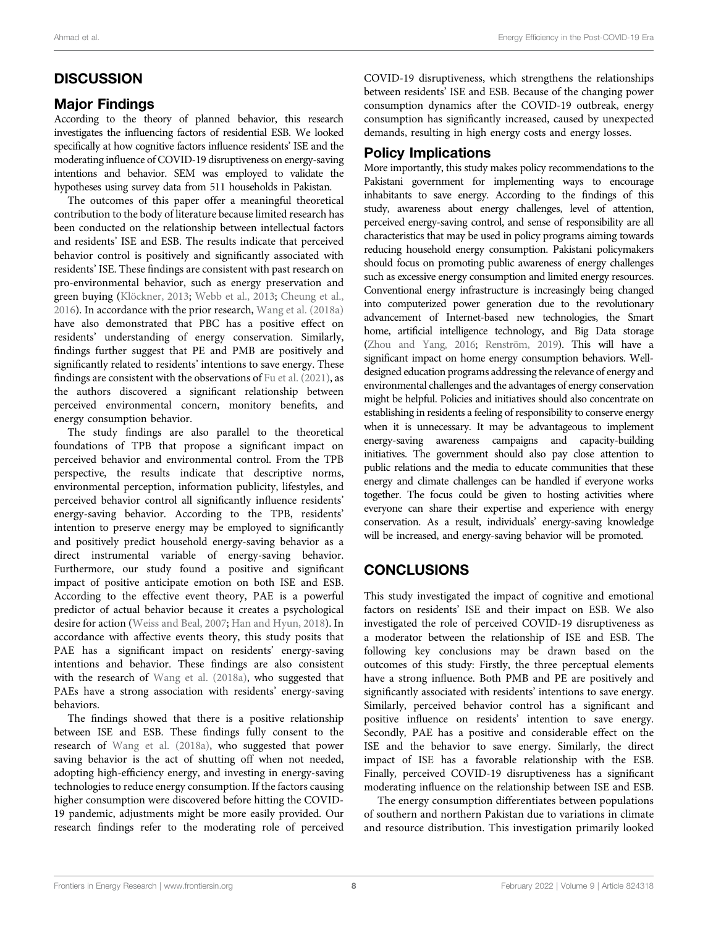## **DISCUSSION**

## Major Findings

According to the theory of planned behavior, this research investigates the influencing factors of residential ESB. We looked specifically at how cognitive factors influence residents' ISE and the moderating influence of COVID-19 disruptiveness on energy-saving intentions and behavior. SEM was employed to validate the hypotheses using survey data from 511 households in Pakistan.

The outcomes of this paper offer a meaningful theoretical contribution to the body of literature because limited research has been conducted on the relationship between intellectual factors and residents' ISE and ESB. The results indicate that perceived behavior control is positively and significantly associated with residents' ISE. These findings are consistent with past research on pro-environmental behavior, such as energy preservation and green buying [\(Klöckner, 2013;](#page-10-38) [Webb et al., 2013](#page-10-24); [Cheung et al.,](#page-9-22) [2016](#page-9-22)). In accordance with the prior research, [Wang et al. \(2018a\)](#page-10-2) have also demonstrated that PBC has a positive effect on residents' understanding of energy conservation. Similarly, findings further suggest that PE and PMB are positively and significantly related to residents' intentions to save energy. These findings are consistent with the observations of [Fu et al. \(2021\),](#page-9-9) as the authors discovered a significant relationship between perceived environmental concern, monitory benefits, and energy consumption behavior.

The study findings are also parallel to the theoretical foundations of TPB that propose a significant impact on perceived behavior and environmental control. From the TPB perspective, the results indicate that descriptive norms, environmental perception, information publicity, lifestyles, and perceived behavior control all significantly influence residents' energy-saving behavior. According to the TPB, residents' intention to preserve energy may be employed to significantly and positively predict household energy-saving behavior as a direct instrumental variable of energy-saving behavior. Furthermore, our study found a positive and significant impact of positive anticipate emotion on both ISE and ESB. According to the effective event theory, PAE is a powerful predictor of actual behavior because it creates a psychological desire for action [\(Weiss and Beal, 2007](#page-10-25); [Han and Hyun, 2018](#page-9-14)). In accordance with affective events theory, this study posits that PAE has a significant impact on residents' energy-saving intentions and behavior. These findings are also consistent with the research of [Wang et al. \(2018a\),](#page-10-2) who suggested that PAEs have a strong association with residents' energy-saving behaviors.

The findings showed that there is a positive relationship between ISE and ESB. These findings fully consent to the research of [Wang et al. \(2018a\)](#page-10-2), who suggested that power saving behavior is the act of shutting off when not needed, adopting high-efficiency energy, and investing in energy-saving technologies to reduce energy consumption. If the factors causing higher consumption were discovered before hitting the COVID-19 pandemic, adjustments might be more easily provided. Our research findings refer to the moderating role of perceived

COVID-19 disruptiveness, which strengthens the relationships between residents' ISE and ESB. Because of the changing power consumption dynamics after the COVID-19 outbreak, energy consumption has significantly increased, caused by unexpected demands, resulting in high energy costs and energy losses.

#### Policy Implications

More importantly, this study makes policy recommendations to the Pakistani government for implementing ways to encourage inhabitants to save energy. According to the findings of this study, awareness about energy challenges, level of attention, perceived energy-saving control, and sense of responsibility are all characteristics that may be used in policy programs aiming towards reducing household energy consumption. Pakistani policymakers should focus on promoting public awareness of energy challenges such as excessive energy consumption and limited energy resources. Conventional energy infrastructure is increasingly being changed into computerized power generation due to the revolutionary advancement of Internet-based new technologies, the Smart home, artificial intelligence technology, and Big Data storage [\(Zhou and Yang, 2016;](#page-11-1) [Renström, 2019](#page-10-39)). This will have a significant impact on home energy consumption behaviors. Welldesigned education programs addressing the relevance of energy and environmental challenges and the advantages of energy conservation might be helpful. Policies and initiatives should also concentrate on establishing in residents a feeling of responsibility to conserve energy when it is unnecessary. It may be advantageous to implement energy-saving awareness campaigns and capacity-building initiatives. The government should also pay close attention to public relations and the media to educate communities that these energy and climate challenges can be handled if everyone works together. The focus could be given to hosting activities where everyone can share their expertise and experience with energy conservation. As a result, individuals' energy-saving knowledge will be increased, and energy-saving behavior will be promoted.

## **CONCLUSIONS**

This study investigated the impact of cognitive and emotional factors on residents' ISE and their impact on ESB. We also investigated the role of perceived COVID-19 disruptiveness as a moderator between the relationship of ISE and ESB. The following key conclusions may be drawn based on the outcomes of this study: Firstly, the three perceptual elements have a strong influence. Both PMB and PE are positively and significantly associated with residents' intentions to save energy. Similarly, perceived behavior control has a significant and positive influence on residents' intention to save energy. Secondly, PAE has a positive and considerable effect on the ISE and the behavior to save energy. Similarly, the direct impact of ISE has a favorable relationship with the ESB. Finally, perceived COVID-19 disruptiveness has a significant moderating influence on the relationship between ISE and ESB.

The energy consumption differentiates between populations of southern and northern Pakistan due to variations in climate and resource distribution. This investigation primarily looked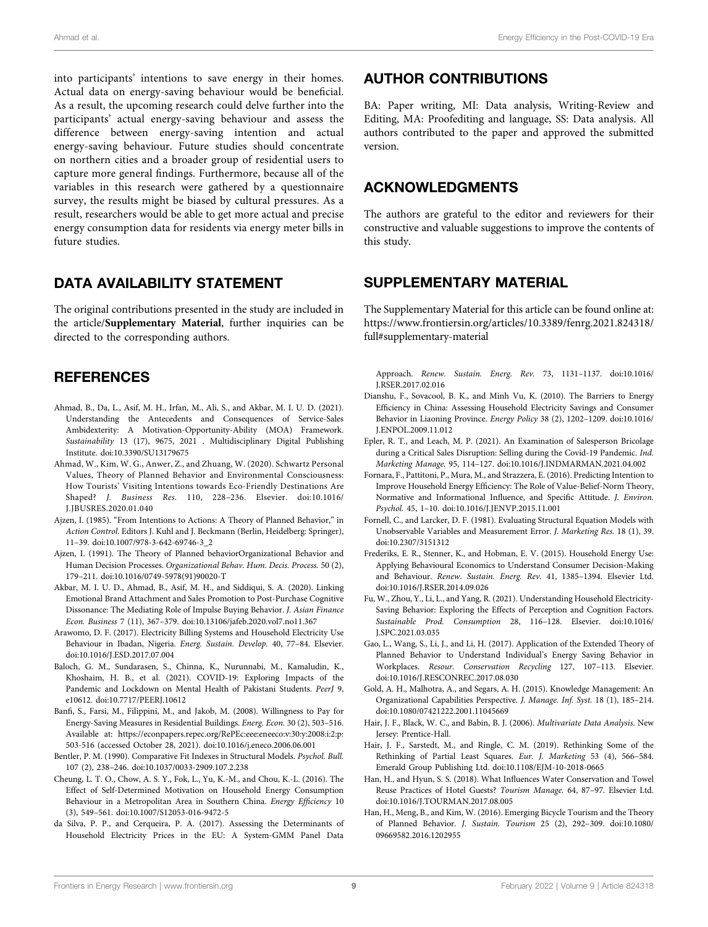into participants' intentions to save energy in their homes. Actual data on energy-saving behaviour would be beneficial. As a result, the upcoming research could delve further into the participants' actual energy-saving behaviour and assess the difference between energy-saving intention and actual energy-saving behaviour. Future studies should concentrate on northern cities and a broader group of residential users to capture more general findings. Furthermore, because all of the variables in this research were gathered by a questionnaire survey, the results might be biased by cultural pressures. As a result, researchers would be able to get more actual and precise energy consumption data for residents via energy meter bills in future studies.

#### DATA AVAILABILITY STATEMENT

The original contributions presented in the study are included in the article/[Supplementary Material](#page-9-23), further inquiries can be directed to the corresponding authors.

#### **REFERENCES**

- <span id="page-9-17"></span>Ahmad, B., Da, L., Asif, M. H., Irfan, M., Ali, S., and Akbar, M. I. U. D. (2021). Understanding the Antecedents and Consequences of Service-Sales Ambidexterity: A Motivation-Opportunity-Ability (MOA) Framework. Sustainability 13 (17), 9675, 2021 . Multidisciplinary Digital Publishing Institute. doi:[10.3390/SU13179675](https://doi.org/10.3390/SU13179675)
- <span id="page-9-8"></span>Ahmad, W., Kim, W. G., Anwer, Z., and Zhuang, W. (2020). Schwartz Personal Values, Theory of Planned Behavior and Environmental Consciousness: How Tourists' Visiting Intentions towards Eco-Friendly Destinations Are Shaped? J. Business Res. 110, 228–236. Elsevier. doi:[10.1016/](https://doi.org/10.1016/J.JBUSRES.2020.01.040) [J.JBUSRES.2020.01.040](https://doi.org/10.1016/J.JBUSRES.2020.01.040)
- <span id="page-9-6"></span>Ajzen, I. (1985). "From Intentions to Actions: A Theory of Planned Behavior," in Action Control. Editors J. Kuhl and J. Beckmann (Berlin, Heidelberg: Springer), 11–39. doi:[10.1007/978-3-642-69746-3\\_2](https://doi.org/10.1007/978-3-642-69746-3_2)
- <span id="page-9-7"></span>Ajzen, I. (1991). The Theory of Planned behaviorOrganizational Behavior and Human Decision Processes. Organizational Behav. Hum. Decis. Process. 50 (2), 179–211. doi:[10.1016/0749-5978\(91\)90020-T](https://doi.org/10.1016/0749-5978(91)90020-T)
- <span id="page-9-4"></span>Akbar, M. I. U. D., Ahmad, B., Asif, M. H., and Siddiqui, S. A. (2020). Linking Emotional Brand Attachment and Sales Promotion to Post-Purchase Cognitive Dissonance: The Mediating Role of Impulse Buying Behavior. J. Asian Finance Econ. Business 7 (11), 367–379. doi[:10.13106/jafeb.2020.vol7.no11.367](https://doi.org/10.13106/jafeb.2020.vol7.no11.367)
- <span id="page-9-1"></span>Arawomo, D. F. (2017). Electricity Billing Systems and Household Electricity Use Behaviour in Ibadan, Nigeria. Energ. Sustain. Develop. 40, 77–84. Elsevier. doi:[10.1016/J.ESD.2017.07.004](https://doi.org/10.1016/J.ESD.2017.07.004)
- <span id="page-9-0"></span>Baloch, G. M., Sundarasen, S., Chinna, K., Nurunnabi, M., Kamaludin, K., Khoshaim, H. B., et al. (2021). COVID-19: Exploring Impacts of the Pandemic and Lockdown on Mental Health of Pakistani Students. PeerJ 9, e10612. doi:[10.7717/PEERJ.10612](https://doi.org/10.7717/PEERJ.10612)
- <span id="page-9-12"></span>Banfi, S., Farsi, M., Filippini, M., and Jakob, M. (2008). Willingness to Pay for Energy-Saving Measures in Residential Buildings. Energ. Econ. 30 (2), 503–516. Available at: [https://econpapers.repec.org/RePEc:eee:eneeco:v:30:y:2008:i:2:p:](https://econpapers.repec.org/RePEc:eee:eneeco:v:30:y:2008:i:2:p:503-516) [503-516](https://econpapers.repec.org/RePEc:eee:eneeco:v:30:y:2008:i:2:p:503-516) (accessed October 28, 2021). doi[:10.1016/j.eneco.2006.06.001](https://doi.org/10.1016/j.eneco.2006.06.001)
- <span id="page-9-21"></span>Bentler, P. M. (1990). Comparative Fit Indexes in Structural Models. Psychol. Bull. 107 (2), 238–246. doi[:10.1037/0033-2909.107.2.238](https://doi.org/10.1037/0033-2909.107.2.238)
- <span id="page-9-22"></span>Cheung, L. T. O., Chow, A. S. Y., Fok, L., Yu, K.-M., and Chou, K.-L. (2016). The Effect of Self-Determined Motivation on Household Energy Consumption Behaviour in a Metropolitan Area in Southern China. Energy Efficiency 10 (3), 549–561. doi:[10.1007/S12053-016-9472-5](https://doi.org/10.1007/S12053-016-9472-5)
- <span id="page-9-2"></span>da Silva, P. P., and Cerqueira, P. A. (2017). Assessing the Determinants of Household Electricity Prices in the EU: A System-GMM Panel Data

#### AUTHOR CONTRIBUTIONS

<span id="page-9-23"></span>BA: Paper writing, MI: Data analysis, Writing-Review and Editing, MA: Proofediting and language, SS: Data analysis. All authors contributed to the paper and approved the submitted version.

#### ACKNOWLEDGMENTS

The authors are grateful to the editor and reviewers for their constructive and valuable suggestions to improve the contents of this study.

#### SUPPLEMENTARY MATERIAL

The Supplementary Material for this article can be found online at: [https://www.frontiersin.org/articles/10.3389/fenrg.2021.824318/](https://www.frontiersin.org/articles/10.3389/fenrg.2021.824318/full#supplementary-material) [full#supplementary-material](https://www.frontiersin.org/articles/10.3389/fenrg.2021.824318/full#supplementary-material)

Approach. Renew. Sustain. Energ. Rev. 73, 1131–1137. doi[:10.1016/](https://doi.org/10.1016/J.RSER.2017.02.016) [J.RSER.2017.02.016](https://doi.org/10.1016/J.RSER.2017.02.016)

- <span id="page-9-13"></span>Dianshu, F., Sovacool, B. K., and Minh Vu, K. (2010). The Barriers to Energy Efficiency in China: Assessing Household Electricity Savings and Consumer Behavior in Liaoning Province. Energy Policy 38 (2), 1202–1209. doi[:10.1016/](https://doi.org/10.1016/J.ENPOL.2009.11.012) [J.ENPOL.2009.11.012](https://doi.org/10.1016/J.ENPOL.2009.11.012)
- <span id="page-9-15"></span>Epler, R. T., and Leach, M. P. (2021). An Examination of Salesperson Bricolage during a Critical Sales Disruption: Selling during the Covid-19 Pandemic. Ind. Marketing Manage. 95, 114–127. doi[:10.1016/J.INDMARMAN.2021.04.002](https://doi.org/10.1016/J.INDMARMAN.2021.04.002)
- <span id="page-9-10"></span>Fornara, F., Pattitoni, P., Mura, M., and Strazzera, E. (2016). Predicting Intention to Improve Household Energy Efficiency: The Role of Value-Belief-Norm Theory, Normative and Informational Influence, and Specific Attitude. J. Environ. Psychol. 45, 1–10. doi[:10.1016/J.JENVP.2015.11.001](https://doi.org/10.1016/J.JENVP.2015.11.001)
- <span id="page-9-19"></span>Fornell, C., and Larcker, D. F. (1981). Evaluating Structural Equation Models with Unobservable Variables and Measurement Error. J. Marketing Res. 18 (1), 39. doi[:10.2307/3151312](https://doi.org/10.2307/3151312)
- <span id="page-9-3"></span>Frederiks, E. R., Stenner, K., and Hobman, E. V. (2015). Household Energy Use: Applying Behavioural Economics to Understand Consumer Decision-Making and Behaviour. Renew. Sustain. Energ. Rev. 41, 1385–1394. Elsevier Ltd. doi[:10.1016/J.RSER.2014.09.026](https://doi.org/10.1016/J.RSER.2014.09.026)
- <span id="page-9-9"></span>Fu, W., Zhou, Y., Li, L., and Yang, R. (2021). Understanding Household Electricity-Saving Behavior: Exploring the Effects of Perception and Cognition Factors. Sustainable Prod. Consumption 28, 116–128. Elsevier. doi[:10.1016/](https://doi.org/10.1016/J.SPC.2021.03.035) [J.SPC.2021.03.035](https://doi.org/10.1016/J.SPC.2021.03.035)
- <span id="page-9-11"></span>Gao, L., Wang, S., Li, J., and Li, H. (2017). Application of the Extended Theory of Planned Behavior to Understand Individual's Energy Saving Behavior in Workplaces. Resour. Conservation Recycling 127, 107–113. Elsevier. doi[:10.1016/J.RESCONREC.2017.08.030](https://doi.org/10.1016/J.RESCONREC.2017.08.030)
- <span id="page-9-20"></span>Gold, A. H., Malhotra, A., and Segars, A. H. (2015). Knowledge Management: An Organizational Capabilities Perspective. J. Manage. Inf. Syst. 18 (1), 185–214. doi[:10.1080/07421222.2001.11045669](https://doi.org/10.1080/07421222.2001.11045669)
- <span id="page-9-16"></span>Hair, J. F., Black, W. C., and Babin, B. J. (2006). Multivariate Data Analysis. New Jersey: Prentice-Hall.
- <span id="page-9-18"></span>Hair, J. F., Sarstedt, M., and Ringle, C. M. (2019). Rethinking Some of the Rethinking of Partial Least Squares. Eur. J. Marketing 53 (4), 566–584. Emerald Group Publishing Ltd. doi:[10.1108/EJM-10-2018-0665](https://doi.org/10.1108/EJM-10-2018-0665)
- <span id="page-9-14"></span>Han, H., and Hyun, S. S. (2018). What Influences Water Conservation and Towel Reuse Practices of Hotel Guests? Tourism Manage. 64, 87–97. Elsevier Ltd. doi[:10.1016/J.TOURMAN.2017.08.005](https://doi.org/10.1016/J.TOURMAN.2017.08.005)
- <span id="page-9-5"></span>Han, H., Meng, B., and Kim, W. (2016). Emerging Bicycle Tourism and the Theory of Planned Behavior. J. Sustain. Tourism 25 (2), 292–309. doi[:10.1080/](https://doi.org/10.1080/09669582.2016.1202955) [09669582.2016.1202955](https://doi.org/10.1080/09669582.2016.1202955)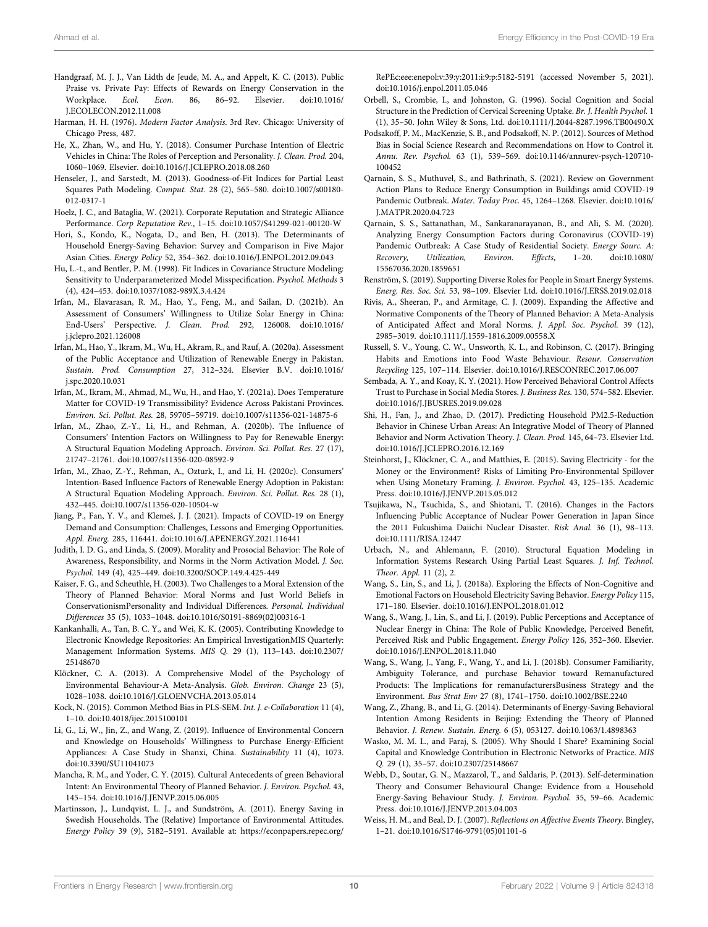- <span id="page-10-3"></span>Handgraaf, M. J. J., Van Lidth de Jeude, M. A., and Appelt, K. C. (2013). Public Praise vs. Private Pay: Effects of Rewards on Energy Conservation in the Workplace. Ecol. Econ. 86, 86-92. Elsevier. doi:10.1016/ Workplace. Ecol. Econ. 86, 86–92. Elsevier. doi:[10.1016/](https://doi.org/10.1016/J.ECOLECON.2012.11.008) [J.ECOLECON.2012.11.008](https://doi.org/10.1016/J.ECOLECON.2012.11.008)
- <span id="page-10-29"></span>Harman, H. H. (1976). Modern Factor Analysis. 3rd Rev. Chicago: University of Chicago Press, 487.
- <span id="page-10-15"></span>He, X., Zhan, W., and Hu, Y. (2018). Consumer Purchase Intention of Electric Vehicles in China: The Roles of Perception and Personality. J. Clean. Prod. 204, 1060–1069. Elsevier. doi[:10.1016/J.JCLEPRO.2018.08.260](https://doi.org/10.1016/J.JCLEPRO.2018.08.260)
- <span id="page-10-37"></span>Henseler, J., and Sarstedt, M. (2013). Goodness-of-Fit Indices for Partial Least Squares Path Modeling. Comput. Stat. 28 (2), 565–580. doi[:10.1007/s00180-](https://doi.org/10.1007/s00180-012-0317-1) [012-0317-1](https://doi.org/10.1007/s00180-012-0317-1)
- <span id="page-10-28"></span>Hoelz, J. C., and Bataglia, W. (2021). Corporate Reputation and Strategic Alliance Performance. Corp Reputation Rev., 1–15. doi[:10.1057/S41299-021-00120-W](https://doi.org/10.1057/S41299-021-00120-W)
- <span id="page-10-5"></span>Hori, S., Kondo, K., Nogata, D., and Ben, H. (2013). The Determinants of Household Energy-Saving Behavior: Survey and Comparison in Five Major Asian Cities. Energy Policy 52, 354–362. doi:[10.1016/J.ENPOL.2012.09.043](https://doi.org/10.1016/J.ENPOL.2012.09.043)
- <span id="page-10-36"></span>Hu, L.-t., and Bentler, P. M. (1998). Fit Indices in Covariance Structure Modeling: Sensitivity to Underparameterized Model Misspecification. Psychol. Methods 3 (4), 424–453. doi:[10.1037/1082-989X.3.4.424](https://doi.org/10.1037/1082-989X.3.4.424)
- <span id="page-10-33"></span>Irfan, M., Elavarasan, R. M., Hao, Y., Feng, M., and Sailan, D. (2021b). An Assessment of Consumers' Willingness to Utilize Solar Energy in China: End-Users' Perspective. J. Clean. Prod. 292, 126008. doi:[10.1016/](https://doi.org/10.1016/j.jclepro.2021.126008) [j.jclepro.2021.126008](https://doi.org/10.1016/j.jclepro.2021.126008)
- <span id="page-10-32"></span>Irfan, M., Hao, Y., Ikram, M., Wu, H., Akram, R., and Rauf, A. (2020a). Assessment of the Public Acceptance and Utilization of Renewable Energy in Pakistan. Sustain. Prod. Consumption 27, 312–324. Elsevier B.V. doi:[10.1016/](https://doi.org/10.1016/j.spc.2020.10.031) [j.spc.2020.10.031](https://doi.org/10.1016/j.spc.2020.10.031)
- <span id="page-10-1"></span>Irfan, M., Ikram, M., Ahmad, M., Wu, H., and Hao, Y. (2021a). Does Temperature Matter for COVID-19 Transmissibility? Evidence Across Pakistani Provinces. Environ. Sci. Pollut. Res. 28, 59705–59719. doi:[10.1007/s11356-021-14875-6](https://doi.org/10.1007/s11356-021-14875-6)
- <span id="page-10-34"></span>Irfan, M., Zhao, Z.-Y., Li, H., and Rehman, A. (2020b). The Influence of Consumers' Intention Factors on Willingness to Pay for Renewable Energy: A Structural Equation Modeling Approach. Environ. Sci. Pollut. Res. 27 (17), 21747–21761. doi[:10.1007/s11356-020-08592-9](https://doi.org/10.1007/s11356-020-08592-9)
- <span id="page-10-35"></span>Irfan, M., Zhao, Z.-Y., Rehman, A., Ozturk, I., and Li, H. (2020c). Consumers' Intention-Based Influence Factors of Renewable Energy Adoption in Pakistan: A Structural Equation Modeling Approach. Environ. Sci. Pollut. Res. 28 (1), 432–445. doi:[10.1007/s11356-020-10504-w](https://doi.org/10.1007/s11356-020-10504-w)
- <span id="page-10-26"></span>Jiang, P., Fan, Y. V., and Klemeš, J. J. (2021). Impacts of COVID-19 on Energy Demand and Consumption: Challenges, Lessons and Emerging Opportunities. Appl. Energ. 285, 116441. doi[:10.1016/J.APENERGY.2021.116441](https://doi.org/10.1016/J.APENERGY.2021.116441)
- <span id="page-10-6"></span>Judith, I. D. G., and Linda, S. (2009). Morality and Prosocial Behavior: The Role of Awareness, Responsibility, and Norms in the Norm Activation Model. J. Soc. Psychol. 149 (4), 425–449. doi[:10.3200/SOCP.149.4.425-449](https://doi.org/10.3200/SOCP.149.4.425-449)
- <span id="page-10-8"></span>Kaiser, F. G., and Scheuthle, H. (2003). Two Challenges to a Moral Extension of the Theory of Planned Behavior: Moral Norms and Just World Beliefs in ConservationismPersonality and Individual Differences. Personal. Individual Differences 35 (5), 1033–1048. doi[:10.1016/S0191-8869\(02\)00316-1](https://doi.org/10.1016/S0191-8869(02)00316-1)
- <span id="page-10-17"></span>Kankanhalli, A., Tan, B. C. Y., and Wei, K. K. (2005). Contributing Knowledge to Electronic Knowledge Repositories: An Empirical InvestigationMIS Quarterly: Management Information Systems. MIS Q. 29 (1), 113–143. doi:[10.2307/](https://doi.org/10.2307/25148670) [25148670](https://doi.org/10.2307/25148670)
- <span id="page-10-38"></span>Klöckner, C. A. (2013). A Comprehensive Model of the Psychology of Environmental Behaviour-A Meta-Analysis. Glob. Environ. Change 23 (5), 1028–1038. doi[:10.1016/J.GLOENVCHA.2013.05.014](https://doi.org/10.1016/J.GLOENVCHA.2013.05.014)
- <span id="page-10-30"></span>Kock, N. (2015). Common Method Bias in PLS-SEM. Int. J. e-Collaboration 11 (4), 1–10. doi[:10.4018/ijec.2015100101](https://doi.org/10.4018/ijec.2015100101)
- <span id="page-10-16"></span>Li, G., Li, W., Jin, Z., and Wang, Z. (2019). Influence of Environmental Concern and Knowledge on Households' Willingness to Purchase Energy-Efficient Appliances: A Case Study in Shanxi, China. Sustainability 11 (4), 1073. doi:[10.3390/SU11041073](https://doi.org/10.3390/SU11041073)
- <span id="page-10-10"></span>Mancha, R. M., and Yoder, C. Y. (2015). Cultural Antecedents of green Behavioral Intent: An Environmental Theory of Planned Behavior. J. Environ. Psychol. 43, 145–154. doi:[10.1016/J.JENVP.2015.06.005](https://doi.org/10.1016/J.JENVP.2015.06.005)
- <span id="page-10-4"></span>Martinsson, J., Lundqvist, L. J., and Sundström, A. (2011). Energy Saving in Swedish Households. The (Relative) Importance of Environmental Attitudes. Energy Policy 39 (9), 5182–5191. Available at: [https://econpapers.repec.org/](https://econpapers.repec.org/RePEc:eee:enepol:v:39:y:2011:i:9:p:5182-5191)

[RePEc:eee:enepol:v:39:y:2011:i:9:p:5182-5191](https://econpapers.repec.org/RePEc:eee:enepol:v:39:y:2011:i:9:p:5182-5191) (accessed November 5, 2021). doi[:10.1016/j.enpol.2011.05.046](https://doi.org/10.1016/j.enpol.2011.05.046)

- <span id="page-10-20"></span>Orbell, S., Crombie, I., and Johnston, G. (1996). Social Cognition and Social Structure in the Prediction of Cervical Screening Uptake. Br. J. Health Psychol. 1 (1), 35–50. John Wiley & Sons, Ltd. doi[:10.1111/J.2044-8287.1996.TB00490.X](https://doi.org/10.1111/J.2044-8287.1996.TB00490.X)
- <span id="page-10-31"></span>Podsakoff, P. M., MacKenzie, S. B., and Podsakoff, N. P. (2012). Sources of Method Bias in Social Science Research and Recommendations on How to Control it. Annu. Rev. Psychol. 63 (1), 539–569. doi[:10.1146/annurev-psych-120710-](https://doi.org/10.1146/annurev-psych-120710-100452) [100452](https://doi.org/10.1146/annurev-psych-120710-100452)
- <span id="page-10-0"></span>Qarnain, S. S., Muthuvel, S., and Bathrinath, S. (2021). Review on Government Action Plans to Reduce Energy Consumption in Buildings amid COVID-19 Pandemic Outbreak. Mater. Today Proc. 45, 1264–1268. Elsevier. doi[:10.1016/](https://doi.org/10.1016/J.MATPR.2020.04.723) [J.MATPR.2020.04.723](https://doi.org/10.1016/J.MATPR.2020.04.723)
- <span id="page-10-14"></span>Qarnain, S. S., Sattanathan, M., Sankaranarayanan, B., and Ali, S. M. (2020). Analyzing Energy Consumption Factors during Coronavirus (COVID-19) Pandemic Outbreak: A Case Study of Residential Society. Energy Sourc. A: Recovery, Utilization, Environ. Effects, 1–20. doi[:10.1080/](https://doi.org/10.1080/15567036.2020.1859651) [15567036.2020.1859651](https://doi.org/10.1080/15567036.2020.1859651)
- <span id="page-10-39"></span>Renström, S. (2019). Supporting Diverse Roles for People in Smart Energy Systems. Energ. Res. Soc. Sci. 53, 98–109. Elsevier Ltd. doi:[10.1016/J.ERSS.2019.02.018](https://doi.org/10.1016/J.ERSS.2019.02.018)
- <span id="page-10-7"></span>Rivis, A., Sheeran, P., and Armitage, C. J. (2009). Expanding the Affective and Normative Components of the Theory of Planned Behavior: A Meta-Analysis of Anticipated Affect and Moral Norms. J. Appl. Soc. Psychol. 39 (12), 2985–3019. doi:[10.1111/J.1559-1816.2009.00558.X](https://doi.org/10.1111/J.1559-1816.2009.00558.X)
- <span id="page-10-23"></span>Russell, S. V., Young, C. W., Unsworth, K. L., and Robinson, C. (2017). Bringing Habits and Emotions into Food Waste Behaviour. Resour. Conservation Recycling 125, 107–114. Elsevier. doi:[10.1016/J.RESCONREC.2017.06.007](https://doi.org/10.1016/J.RESCONREC.2017.06.007)
- <span id="page-10-13"></span>Sembada, A. Y., and Koay, K. Y. (2021). How Perceived Behavioral Control Affects Trust to Purchase in Social Media Stores. J. Business Res. 130, 574–582. Elsevier. doi[:10.1016/J.JBUSRES.2019.09.028](https://doi.org/10.1016/J.JBUSRES.2019.09.028)
- <span id="page-10-9"></span>Shi, H., Fan, J., and Zhao, D. (2017). Predicting Household PM2.5-Reduction Behavior in Chinese Urban Areas: An Integrative Model of Theory of Planned Behavior and Norm Activation Theory. J. Clean. Prod. 145, 64–73. Elsevier Ltd. doi[:10.1016/J.JCLEPRO.2016.12.169](https://doi.org/10.1016/J.JCLEPRO.2016.12.169)
- <span id="page-10-19"></span>Steinhorst, J., Klöckner, C. A., and Matthies, E. (2015). Saving Electricity - for the Money or the Environment? Risks of Limiting Pro-Environmental Spillover when Using Monetary Framing. J. Environ. Psychol. 43, 125–135. Academic Press. doi:[10.1016/J.JENVP.2015.05.012](https://doi.org/10.1016/J.JENVP.2015.05.012)
- <span id="page-10-21"></span>Tsujikawa, N., Tsuchida, S., and Shiotani, T. (2016). Changes in the Factors Influencing Public Acceptance of Nuclear Power Generation in Japan Since the 2011 Fukushima Daiichi Nuclear Disaster. Risk Anal. 36 (1), 98–113. doi[:10.1111/RISA.12447](https://doi.org/10.1111/RISA.12447)
- <span id="page-10-27"></span>Urbach, N., and Ahlemann, F. (2010). Structural Equation Modeling in Information Systems Research Using Partial Least Squares. J. Inf. Technol. Theor. Appl. 11 (2), 2.
- <span id="page-10-2"></span>Wang, S., Lin, S., and Li, J. (2018a). Exploring the Effects of Non-Cognitive and Emotional Factors on Household Electricity Saving Behavior. Energy Policy 115, 171–180. Elsevier. doi[:10.1016/J.ENPOL.2018.01.012](https://doi.org/10.1016/J.ENPOL.2018.01.012)
- <span id="page-10-22"></span>Wang, S., Wang, J., Lin, S., and Li, J. (2019). Public Perceptions and Acceptance of Nuclear Energy in China: The Role of Public Knowledge, Perceived Benefit, Perceived Risk and Public Engagement. Energy Policy 126, 352–360. Elsevier. doi[:10.1016/J.ENPOL.2018.11.040](https://doi.org/10.1016/J.ENPOL.2018.11.040)
- <span id="page-10-11"></span>Wang, S., Wang, J., Yang, F., Wang, Y., and Li, J. (2018b). Consumer Familiarity, Ambiguity Tolerance, and purchase Behavior toward Remanufactured Products: The Implications for remanufacturersBusiness Strategy and the Environment. Bus Strat Env 27 (8), 1741–1750. doi[:10.1002/BSE.2240](https://doi.org/10.1002/BSE.2240)
- <span id="page-10-12"></span>Wang, Z., Zhang, B., and Li, G. (2014). Determinants of Energy-Saving Behavioral Intention Among Residents in Beijing: Extending the Theory of Planned Behavior. J. Renew. Sustain. Energ. 6 (5), 053127. doi:[10.1063/1.4898363](https://doi.org/10.1063/1.4898363)
- <span id="page-10-18"></span>Wasko, M. M. L., and Faraj, S. (2005). Why Should I Share? Examining Social Capital and Knowledge Contribution in Electronic Networks of Practice. MIS Q. 29 (1), 35–57. doi:[10.2307/25148667](https://doi.org/10.2307/25148667)
- <span id="page-10-24"></span>Webb, D., Soutar, G. N., Mazzarol, T., and Saldaris, P. (2013). Self-determination Theory and Consumer Behavioural Change: Evidence from a Household Energy-Saving Behaviour Study. J. Environ. Psychol. 35, 59–66. Academic Press. doi:[10.1016/J.JENVP.2013.04.003](https://doi.org/10.1016/J.JENVP.2013.04.003)
- <span id="page-10-25"></span>Weiss, H. M., and Beal, D. J. (2007). Reflections on Affective Events Theory. Bingley, 1–21. doi[:10.1016/S1746-9791\(05\)01101-6](https://doi.org/10.1016/S1746-9791(05)01101-6)